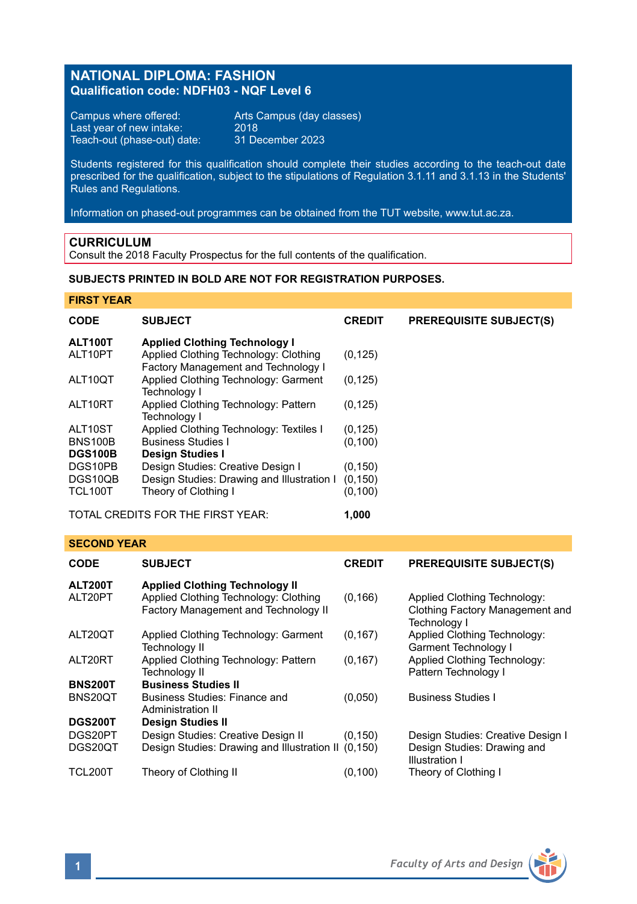# **NATIONAL DIPLOMA: FASHION Qualification code: NDFH03 - NQF Level 6**

Campus where offered: Arts Campus (day classes)<br>Last year of new intake: 2018 Last year of new intake: 2018 Teach-out (phase-out) date: 31 December 2023

Students registered for this qualification should complete their studies according to the teach-out date prescribed for the qualification, subject to the stipulations of Regulation 3.1.11 and 3.1.13 in the Students' Rules and Regulations.

Information on phased-out programmes can be obtained from the TUT website, www.tut.ac.za.

### **CURRICULUM**

Consult the 2018 Faculty Prospectus for the full contents of the qualification.

# **SUBJECTS PRINTED IN BOLD ARE NOT FOR REGISTRATION PURPOSES.**

### **FIRST YEAR**

| <b>CODE</b>                                | <b>SUBJECT</b>                                                               | <b>CREDIT</b> | <b>PREREQUISITE SUBJECT(S)</b> |
|--------------------------------------------|------------------------------------------------------------------------------|---------------|--------------------------------|
| ALT100T                                    | <b>Applied Clothing Technology I</b>                                         |               |                                |
| ALT10PT                                    | Applied Clothing Technology: Clothing<br>Factory Management and Technology I | (0, 125)      |                                |
| ALT10QT                                    | Applied Clothing Technology: Garment<br>Technology I                         | (0, 125)      |                                |
| ALT10RT                                    | Applied Clothing Technology: Pattern<br>Technology I                         | (0, 125)      |                                |
| ALT10ST                                    | Applied Clothing Technology: Textiles I                                      | (0, 125)      |                                |
| <b>BNS100B</b>                             | <b>Business Studies I</b>                                                    | (0, 100)      |                                |
| <b>DGS100B</b>                             | <b>Design Studies I</b>                                                      |               |                                |
| DGS10PB                                    | Design Studies: Creative Design I                                            | (0, 150)      |                                |
| DGS10QB                                    | Design Studies: Drawing and Illustration I                                   | (0, 150)      |                                |
| <b>TCL100T</b>                             | Theory of Clothing I                                                         | (0, 100)      |                                |
| TOTAL CREDITS FOR THE FIRST YEAR:<br>1.000 |                                                                              |               |                                |

### **SECOND YEAR**

| <b>CODE</b>    | <b>SUBJECT</b>                                                                | <b>CREDIT</b> | <b>PREREQUISITE SUBJECT(S)</b>                                                  |
|----------------|-------------------------------------------------------------------------------|---------------|---------------------------------------------------------------------------------|
| <b>ALT200T</b> | <b>Applied Clothing Technology II</b>                                         |               |                                                                                 |
| ALT20PT        | Applied Clothing Technology: Clothing<br>Factory Management and Technology II | (0, 166)      | Applied Clothing Technology:<br>Clothing Factory Management and<br>Technology I |
| ALT20QT        | Applied Clothing Technology: Garment<br><b>Technology II</b>                  | (0, 167)      | Applied Clothing Technology:<br>Garment Technology I                            |
| ALT20RT        | Applied Clothing Technology: Pattern<br><b>Technology II</b>                  | (0, 167)      | Applied Clothing Technology:<br>Pattern Technology I                            |
| <b>BNS200T</b> | <b>Business Studies II</b>                                                    |               |                                                                                 |
| BNS20QT        | Business Studies: Finance and<br>Administration II                            | (0,050)       | <b>Business Studies I</b>                                                       |
| <b>DGS200T</b> | <b>Design Studies II</b>                                                      |               |                                                                                 |
| DGS20PT        | Design Studies: Creative Design II                                            | (0, 150)      | Design Studies: Creative Design I                                               |
| DGS20OT        | Design Studies: Drawing and Illustration II (0,150)                           |               | Design Studies: Drawing and<br>Illustration I                                   |
| TCL200T        | Theory of Clothing II                                                         | (0, 100)      | Theory of Clothing I                                                            |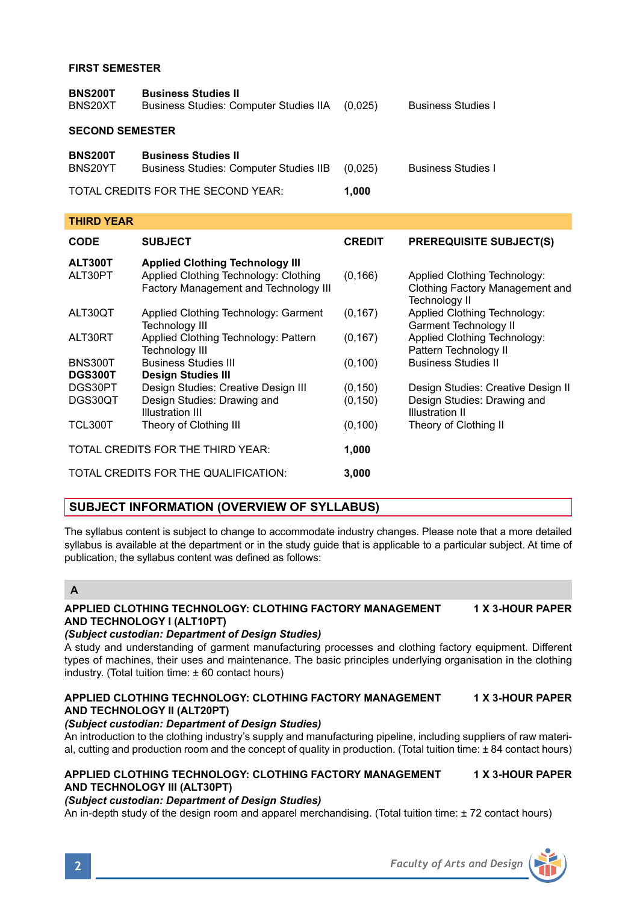## **FIRST SEMESTER**

| <b>BNS200T</b><br>BNS20XT                   | <b>Business Studies II</b><br><b>Business Studies: Computer Studies IIA</b> | (0.025) | <b>Business Studies I</b> |  |
|---------------------------------------------|-----------------------------------------------------------------------------|---------|---------------------------|--|
| <b>SECOND SEMESTER</b>                      |                                                                             |         |                           |  |
| <b>BNS200T</b><br>BNS20YT                   | <b>Business Studies II</b><br><b>Business Studies: Computer Studies IIB</b> | (0.025) | <b>Business Studies I</b> |  |
| TOTAL CREDITS FOR THE SECOND YEAR:<br>1.000 |                                                                             |         |                           |  |

| THIRD YEAR                        |                                                                                |               |                                                                                  |  |
|-----------------------------------|--------------------------------------------------------------------------------|---------------|----------------------------------------------------------------------------------|--|
| <b>CODE</b>                       | <b>SUBJECT</b>                                                                 | <b>CREDIT</b> | <b>PREREQUISITE SUBJECT(S)</b>                                                   |  |
| ALT300T                           | <b>Applied Clothing Technology III</b>                                         |               |                                                                                  |  |
| ALT30PT                           | Applied Clothing Technology: Clothing<br>Factory Management and Technology III | (0, 166)      | Applied Clothing Technology:<br>Clothing Factory Management and<br>Technology II |  |
| ALT30QT                           | Applied Clothing Technology: Garment<br><b>Technology III</b>                  | (0, 167)      | Applied Clothing Technology:<br>Garment Technology II                            |  |
| ALT30RT                           | Applied Clothing Technology: Pattern<br><b>Technology III</b>                  | (0, 167)      | Applied Clothing Technology:<br>Pattern Technology II                            |  |
| <b>BNS300T</b>                    | <b>Business Studies III</b>                                                    | (0, 100)      | <b>Business Studies II</b>                                                       |  |
| <b>DGS300T</b>                    | <b>Design Studies III</b>                                                      |               |                                                                                  |  |
| DGS30PT                           | Design Studies: Creative Design III                                            | (0, 150)      | Design Studies: Creative Design II                                               |  |
| DGS30QT                           | Design Studies: Drawing and<br>Illustration III                                | (0, 150)      | Design Studies: Drawing and<br>Illustration II                                   |  |
| TCL300T                           | Theory of Clothing III                                                         | (0, 100)      | Theory of Clothing II                                                            |  |
| TOTAL CREDITS FOR THE THIRD YEAR: |                                                                                | 1,000         |                                                                                  |  |
|                                   | TOTAL CREDITS FOR THE QUALIFICATION:                                           | 3,000         |                                                                                  |  |

# **SUBJECT INFORMATION (OVERVIEW OF SYLLABUS)**

The syllabus content is subject to change to accommodate industry changes. Please note that a more detailed syllabus is available at the department or in the study guide that is applicable to a particular subject. At time of publication, the syllabus content was defined as follows:

### **A**

### **APPLIED CLOTHING TECHNOLOGY: CLOTHING FACTORY MANAGEMENT 1 X 3-HOUR PAPER AND TECHNOLOGY I (ALT10PT)**

### *(Subject custodian: Department of Design Studies)*

A study and understanding of garment manufacturing processes and clothing factory equipment. Different types of machines, their uses and maintenance. The basic principles underlying organisation in the clothing industry. (Total tuition time: ± 60 contact hours)

### **APPLIED CLOTHING TECHNOLOGY: CLOTHING FACTORY MANAGEMENT 1 X 3-HOUR PAPER AND TECHNOLOGY II (ALT20PT)**

## *(Subject custodian: Department of Design Studies)*

An introduction to the clothing industry's supply and manufacturing pipeline, including suppliers of raw material, cutting and production room and the concept of quality in production. (Total tuition time: ± 84 contact hours)

### **APPLIED CLOTHING TECHNOLOGY: CLOTHING FACTORY MANAGEMENT 1 X 3-HOUR PAPER AND TECHNOLOGY III (ALT30PT)**

### *(Subject custodian: Department of Design Studies)*

An in-depth study of the design room and apparel merchandising. (Total tuition time: ± 72 contact hours)

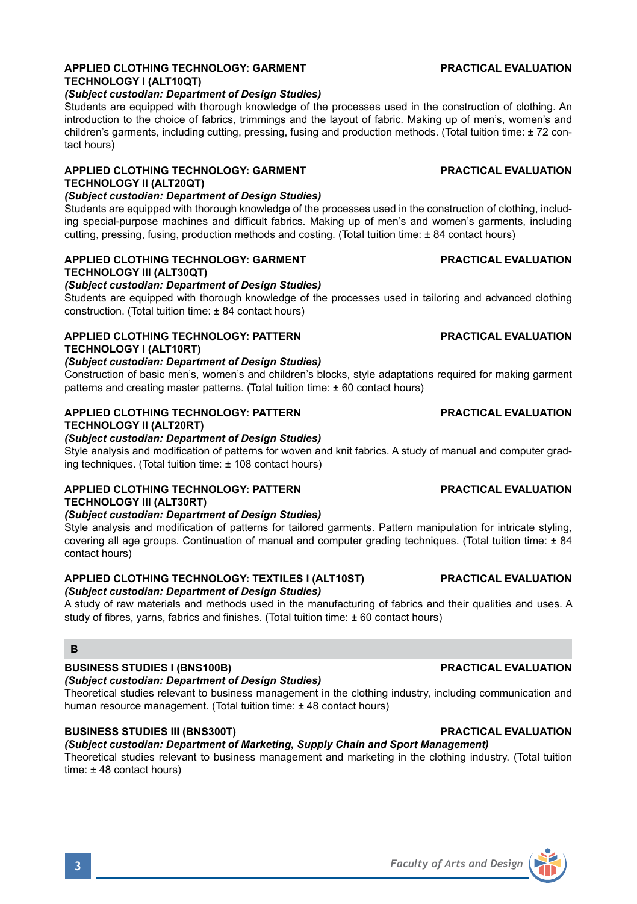# **APPLIED CLOTHING TECHNOLOGY: GARMENT PRACTICAL EVALUATION TECHNOLOGY I (ALT10QT)**

### *(Subject custodian: Department of Design Studies)*

Students are equipped with thorough knowledge of the processes used in the construction of clothing. An introduction to the choice of fabrics, trimmings and the layout of fabric. Making up of men's, women's and children's garments, including cutting, pressing, fusing and production methods. (Total tuition time: ± 72 contact hours)

# **APPLIED CLOTHING TECHNOLOGY: GARMENT PRACTICAL EVALUATION TECHNOLOGY II (ALT20QT)**

# *(Subject custodian: Department of Design Studies)*

Students are equipped with thorough knowledge of the processes used in the construction of clothing, including special-purpose machines and difficult fabrics. Making up of men's and women's garments, including cutting, pressing, fusing, production methods and costing. (Total tuition time: ± 84 contact hours)

### **APPLIED CLOTHING TECHNOLOGY: GARMENT PRACTICAL EVALUATION TECHNOLOGY III (ALT30QT)**

## *(Subject custodian: Department of Design Studies)*

Students are equipped with thorough knowledge of the processes used in tailoring and advanced clothing construction. (Total tuition time: ± 84 contact hours)

# **APPLIED CLOTHING TECHNOLOGY: PATTERN PRACTICAL EVALUATION**

# **TECHNOLOGY I (ALT10RT)**

*(Subject custodian: Department of Design Studies)*

Construction of basic men's, women's and children's blocks, style adaptations required for making garment patterns and creating master patterns. (Total tuition time: ± 60 contact hours)

# **APPLIED CLOTHING TECHNOLOGY: PATTERN PRACTICAL EVALUATION**

# **TECHNOLOGY II (ALT20RT)**

# *(Subject custodian: Department of Design Studies)*

Style analysis and modification of patterns for woven and knit fabrics. A study of manual and computer grading techniques. (Total tuition time: ± 108 contact hours)

# **APPLIED CLOTHING TECHNOLOGY: PATTERN PRACTICAL EVALUATION TECHNOLOGY III (ALT30RT)**

### *(Subject custodian: Department of Design Studies)*

Style analysis and modification of patterns for tailored garments. Pattern manipulation for intricate styling, covering all age groups. Continuation of manual and computer grading techniques. (Total tuition time: ± 84 contact hours)

### **APPLIED CLOTHING TECHNOLOGY: TEXTILES I (ALT10ST) PRACTICAL EVALUATION** *(Subject custodian: Department of Design Studies)*

A study of raw materials and methods used in the manufacturing of fabrics and their qualities and uses. A study of fibres, yarns, fabrics and finishes. (Total tuition time: ± 60 contact hours)

# **B**

# **BUSINESS STUDIES I (BNS100B) PRACTICAL EVALUATION**

# *(Subject custodian: Department of Design Studies)*

Theoretical studies relevant to business management in the clothing industry, including communication and human resource management. (Total tuition time: ± 48 contact hours)

### **BUSINESS STUDIES III (BNS300T) PRACTICAL EVALUATION**

*(Subject custodian: Department of Marketing, Supply Chain and Sport Management)* Theoretical studies relevant to business management and marketing in the clothing industry. (Total tuition time: ± 48 contact hours)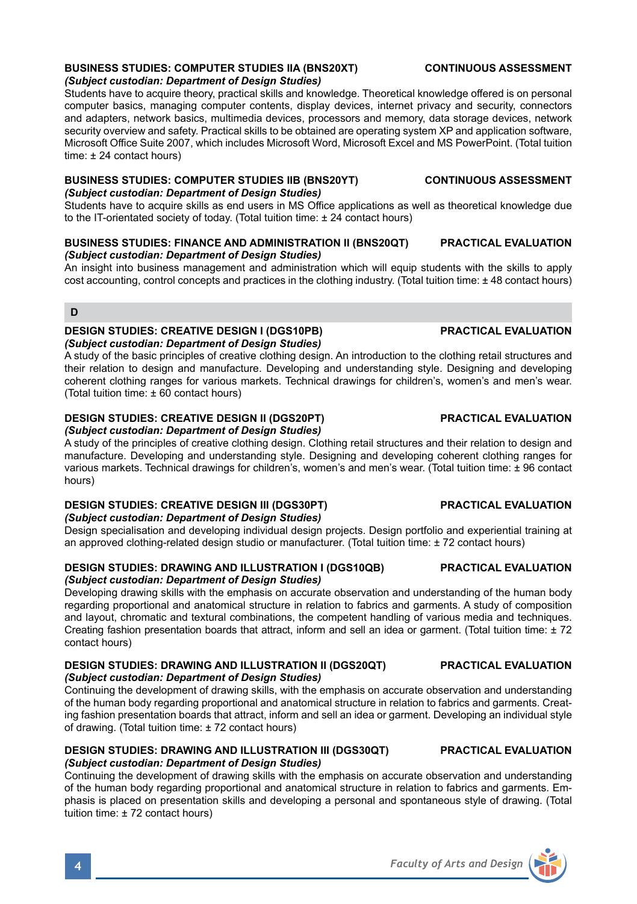# **BUSINESS STUDIES: COMPUTER STUDIES IIA (BNS20XT) CONTINUOUS ASSESSMENT** *(Subject custodian: Department of Design Studies)*

Students have to acquire theory, practical skills and knowledge. Theoretical knowledge offered is on personal computer basics, managing computer contents, display devices, internet privacy and security, connectors and adapters, network basics, multimedia devices, processors and memory, data storage devices, network security overview and safety. Practical skills to be obtained are operating system XP and application software, Microsoft Office Suite 2007, which includes Microsoft Word, Microsoft Excel and MS PowerPoint. (Total tuition time: ± 24 contact hours)

### **BUSINESS STUDIES: COMPUTER STUDIES IIB (BNS20YT) CONTINUOUS ASSESSMENT** *(Subject custodian: Department of Design Studies)*

Students have to acquire skills as end users in MS Office applications as well as theoretical knowledge due to the IT-orientated society of today. (Total tuition time: ± 24 contact hours)

### **BUSINESS STUDIES: FINANCE AND ADMINISTRATION II (BNS20QT) PRACTICAL EVALUATION** *(Subject custodian: Department of Design Studies)*

An insight into business management and administration which will equip students with the skills to apply cost accounting, control concepts and practices in the clothing industry. (Total tuition time: ± 48 contact hours)

### **D**

## **DESIGN STUDIES: CREATIVE DESIGN I (DGS10PB) PRACTICAL EVALUATION** *(Subject custodian: Department of Design Studies)*

A study of the basic principles of creative clothing design. An introduction to the clothing retail structures and their relation to design and manufacture. Developing and understanding style. Designing and developing coherent clothing ranges for various markets. Technical drawings for children's, women's and men's wear. (Total tuition time: ± 60 contact hours)

# **DESIGN STUDIES: CREATIVE DESIGN II (DGS20PT) PRACTICAL EVALUATION**

*(Subject custodian: Department of Design Studies)*

A study of the principles of creative clothing design. Clothing retail structures and their relation to design and manufacture. Developing and understanding style. Designing and developing coherent clothing ranges for various markets. Technical drawings for children's, women's and men's wear. (Total tuition time: ± 96 contact hours)

### **DESIGN STUDIES: CREATIVE DESIGN III (DGS30PT) PRACTICAL EVALUATION** *(Subject custodian: Department of Design Studies)*

Design specialisation and developing individual design projects. Design portfolio and experiential training at an approved clothing-related design studio or manufacturer. (Total tuition time: ± 72 contact hours)

## **DESIGN STUDIES: DRAWING AND ILLUSTRATION I (DGS10QB) PRACTICAL EVALUATION** *(Subject custodian: Department of Design Studies)*

Developing drawing skills with the emphasis on accurate observation and understanding of the human body regarding proportional and anatomical structure in relation to fabrics and garments. A study of composition and layout, chromatic and textural combinations, the competent handling of various media and techniques. Creating fashion presentation boards that attract, inform and sell an idea or garment. (Total tuition time:  $\pm 72$ contact hours)

### **DESIGN STUDIES: DRAWING AND ILLUSTRATION II (DGS20QT) PRACTICAL EVALUATION** *(Subject custodian: Department of Design Studies)*

Continuing the development of drawing skills, with the emphasis on accurate observation and understanding of the human body regarding proportional and anatomical structure in relation to fabrics and garments. Creating fashion presentation boards that attract, inform and sell an idea or garment. Developing an individual style of drawing. (Total tuition time: ± 72 contact hours)

### **DESIGN STUDIES: DRAWING AND ILLUSTRATION III (DGS30QT) PRACTICAL EVALUATION** *(Subject custodian: Department of Design Studies)*

Continuing the development of drawing skills with the emphasis on accurate observation and understanding of the human body regarding proportional and anatomical structure in relation to fabrics and garments. Emphasis is placed on presentation skills and developing a personal and spontaneous style of drawing. (Total tuition time: ± 72 contact hours)